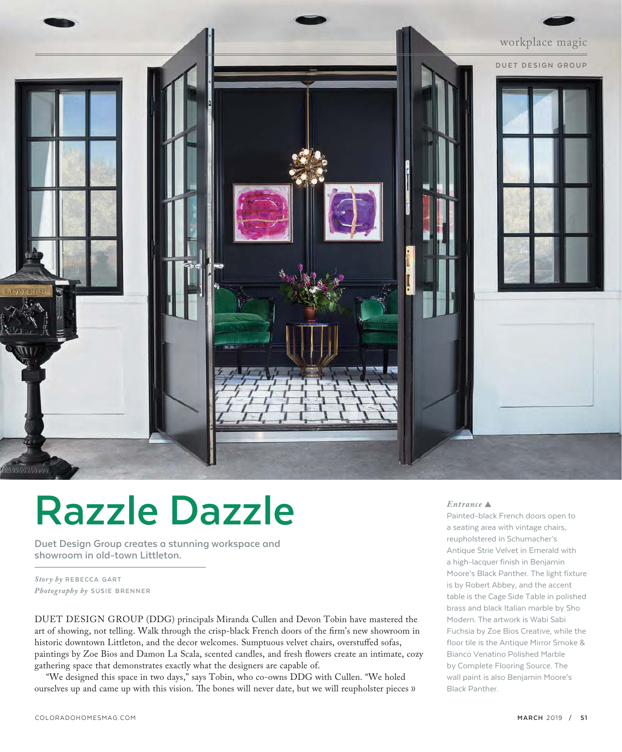

# **Razzle Dazzle**

**Duet Design Group creates a stunning workspace and showroom in old-town Littleton.** 

 $$ *Photography by* SUSIE BRENNER

DUET DESIGN GROUP (DDG) principals Miranda Cullen and Devon Tobin have mastered the art of showing, not telling. Walk through the crisp-black French doors of the firm's new showroom in historic downtown Littleton, and the decor welcomes. Sumptuous velvet chairs, overstuffed sofas, paintings by Zoe Bios and Damon La Scala, scented candles, and fresh flowers create an intimate, cozy gathering space that demonstrates exactly what the designers are capable of.

"We designed this space in two days," says Tobin, who co-owns DDG with Cullen. "We holed ourselves up and came up with this vision. The bones will never date, but we will reupholster pieces »

## *Entrance*

Painted-black French doors open to a seating area with vintage chairs, reupholstered in Schumacher's Antique Strie Velvet in Emerald with a high-lacquer finish in Benjamin Moore's Black Panther. The light fixture is by Robert Abbey, and the accent table is the Cage Side Table in polished brass and black Italian marble by Sho Modern. The artwork is Wabi Sabi Fuchsia by Zoe Bios Creative, while the floor tile is the Antique Mirror Smoke & Bianco Venatino Polished Marble by Complete Flooring Source. The wall paint is also Benjamin Moore's Black Panther.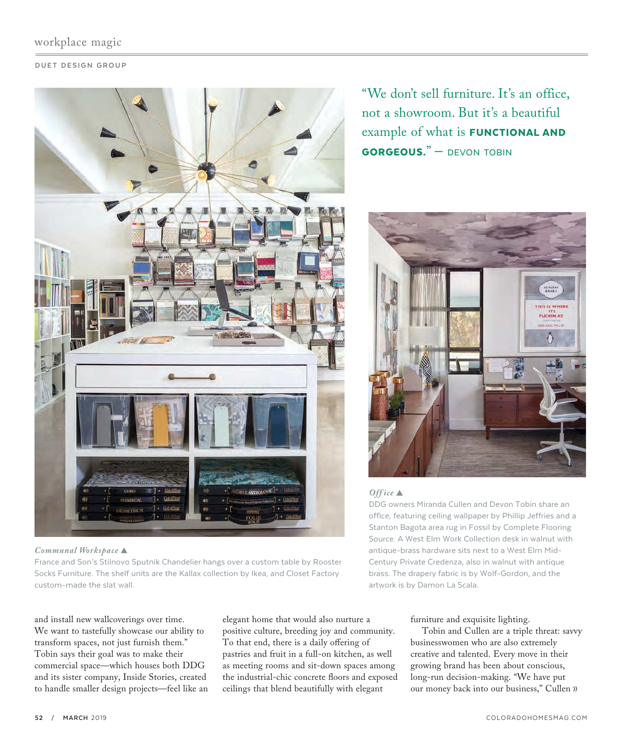# workplace magic

## **DUET DESIGN GROUP**



*Communal Workspace* 

France and Son's Stilnovo Sputnik Chandelier hangs over a custom table by Rooster Socks Furniture. The shelf units are the Kallax collection by Ikea, and Closet Factory custom-made the slat wall.

and install new wallcoverings over time. We want to tastefully showcase our ability to transform spaces, not just furnish them." Tobin says their goal was to make their commercial space—which houses both DDG and its sister company, Inside Stories, created to handle smaller design projects—feel like an elegant home that would also nurture a positive culture, breeding joy and community. To that end, there is a daily offering of pastries and fruit in a full-on kitchen, as well as meeting rooms and sit-down spaces among the industrial-chic concrete floors and exposed ceilings that blend beautifully with elegant

"We don't sell furniture. It's an office, not a showroom. But it's a beautiful example of what is **FUNCTIONAL AND** GORGEOUS." — DEVON TOBIN



## *Off ice*

DDG owners Miranda Cullen and Devon Tobin share an office, featuring ceiling wallpaper by Phillip Jeffries and a Stanton Bagota area rug in Fossil by Complete Flooring Source. A West Elm Work Collection desk in walnut with antique-brass hardware sits next to a West Elm Mid-Century Private Credenza, also in walnut with antique brass. The drapery fabric is by Wolf-Gordon, and the artwork is by Damon La Scala.

## furniture and exquisite lighting.

Tobin and Cullen are a triple threat: savvy businesswomen who are also extremely creative and talented. Every move in their growing brand has been about conscious, long-run decision-making. "We have put our money back into our business," Cullen »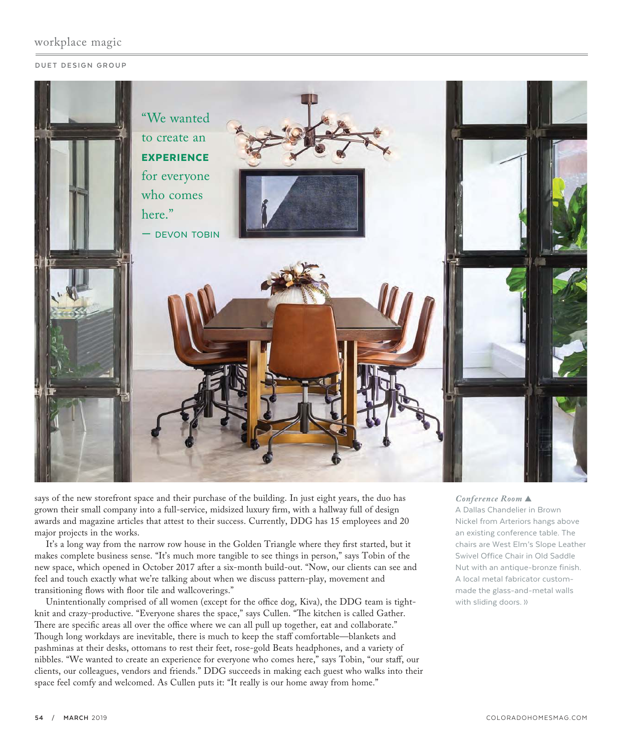# workplace magic

#### **DUET DESIGN GROUP**



says of the new storefront space and their purchase of the building. In just eight years, the duo has grown their small company into a full-service, midsized luxury firm, with a hallway full of design awards and magazine articles that attest to their success. Currently, DDG has 15 employees and 20 major projects in the works.

It's a long way from the narrow row house in the Golden Triangle where they first started, but it makes complete business sense. "It's much more tangible to see things in person," says Tobin of the new space, which opened in October 2017 after a six-month build-out. "Now, our clients can see and feel and touch exactly what we're talking about when we discuss pattern-play, movement and transitioning flows with floor tile and wallcoverings."

Unintentionally comprised of all women (except for the office dog, Kiva), the DDG team is tightknit and crazy-productive. "Everyone shares the space," says Cullen. "The kitchen is called Gather. There are specific areas all over the office where we can all pull up together, eat and collaborate." Though long workdays are inevitable, there is much to keep the staff comfortable—blankets and pashminas at their desks, ottomans to rest their feet, rose-gold Beats headphones, and a variety of nibbles. "We wanted to create an experience for everyone who comes here," says Tobin, "our staff, our clients, our colleagues, vendors and friends." DDG succeeds in making each guest who walks into their space feel comfy and welcomed. As Cullen puts it: "It really is our home away from home."

## *Conference Room*

A Dallas Chandelier in Brown Nickel from Arteriors hangs above an existing conference table. The chairs are West Elm's Slope Leather Swivel Office Chair in Old Saddle Nut with an antique-bronze finish. A local metal fabricator custommade the glass-and-metal walls with sliding doors. »